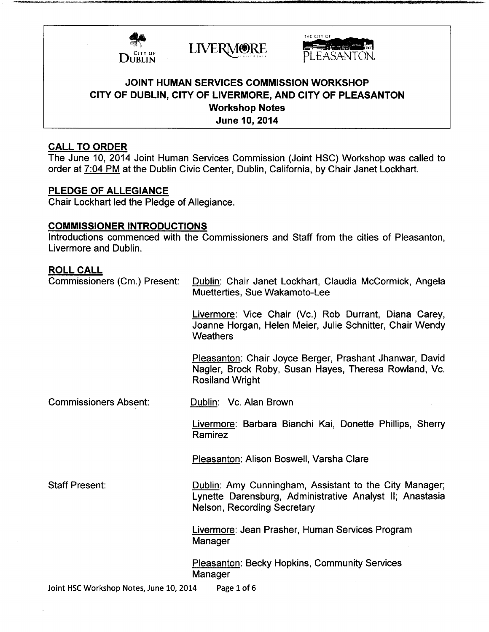





# JOINT HUMAN SERVICES COMMISSION WORKSHOP CITY OF DUBLIN, CITY OF LIVERMORE, AND CITY OF PLEASANTON Workshop Notes June 10, 2014

## CALL TO ORDER

The June 10, 2014 Joint Human Services Commission ( Joint HSC) Workshop was called to order at 7:04 PM at the Dublin Civic Center, Dublin, California, by Chair Janet Lockhart.

## PLEDGE OF ALLEGIANCE

Chair Lockhart led the Pledge of Allegiance.

# COMMISSIONER INTRODUCTIONS

Introductions commenced with the Commissioners and Staff from the cities of Pleasanton, Livermore and Dublin.

### ROLL CALL

| Commissioners (Cm.) Present:                           | Dublin: Chair Janet Lockhart, Claudia McCormick, Angela<br>Muetterties, Sue Wakamoto-Lee                                                          |
|--------------------------------------------------------|---------------------------------------------------------------------------------------------------------------------------------------------------|
|                                                        | Livermore: Vice Chair (Vc.) Rob Durrant, Diana Carey,<br>Joanne Horgan, Helen Meier, Julie Schnitter, Chair Wendy<br>Weathers                     |
|                                                        | Pleasanton: Chair Joyce Berger, Prashant Jhanwar, David<br>Nagler, Brock Roby, Susan Hayes, Theresa Rowland, Vc.<br><b>Rosiland Wright</b>        |
| <b>Commissioners Absent:</b>                           | Dublin: Vc. Alan Brown                                                                                                                            |
|                                                        | Livermore: Barbara Bianchi Kai, Donette Phillips, Sherry<br>Ramirez                                                                               |
|                                                        | Pleasanton: Alison Boswell, Varsha Clare                                                                                                          |
| <b>Staff Present:</b>                                  | Dublin: Amy Cunningham, Assistant to the City Manager;<br>Lynette Darensburg, Administrative Analyst II; Anastasia<br>Nelson, Recording Secretary |
|                                                        | Livermore: Jean Prasher, Human Services Program<br>Manager                                                                                        |
|                                                        | Pleasanton: Becky Hopkins, Community Services<br>Manager                                                                                          |
| Joint HSC Workshop Notes, June 10, 2014<br>Page 1 of 6 |                                                                                                                                                   |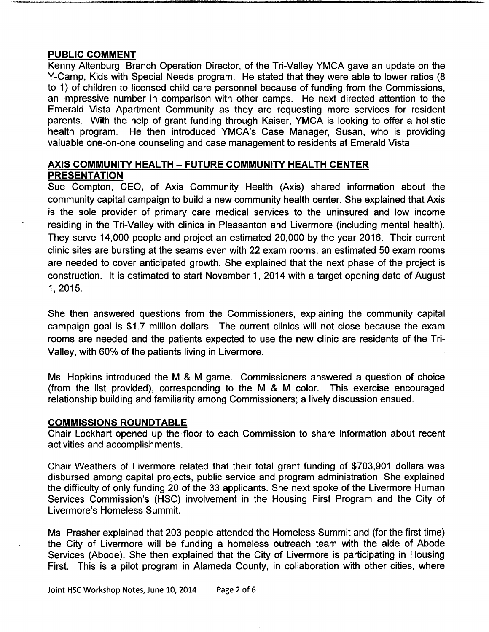### PUBLIC COMMENT

Kenny Altenburg, Branch Operation Director, of the Tri-Valley YMCA gave an update on the Y-Camp, Kids with Special Needs program. He stated that they were able to lower ratios ( <sup>8</sup> to 1) of children to licensed child care personnel because of funding from the Commissions, an impressive number in comparison with other camps. He next directed attention to the Emerald Vista Apartment Community as they are requesting more services for resident parents. With the help of grant funding through Kaiser, YMCA is looking to offer <sup>a</sup> holistic health program. He then introduced YMCA's Case Manager, Susan, who is providing valuable one-on-one counseling and case management to residents at Emerald Vista.

## AXIS COMMUNITY HEALTH — FUTURE COMMUNITY HEALTH CENTER PRESENTATION

Sue Compton, CEO, of Axis Community Health ( Axis) shared information about the community capital campaign to build a new community health center. She explained that Axis is the sole provider of primary care medical services to the uninsured and low income residing in the Tri-Valley with clinics in Pleasanton and Livermore (including mental health). They serve 14,000 people and project an estimated 20,000 by the year 2016. Their current clinic sites are bursting at the seams even with 22 exam rooms, an estimated 50 exam rooms are needed to cover anticipated growth. She explained that the next phase of the project is construction. It is estimated to start November 1, 2014 with <sup>a</sup> target opening date of August 1, 2015.

She then answered questions from the Commissioners, explaining the community capital campaign goal is \$1.7 million dollars. The current clinics will not close because the exam rooms are needed and the patients expected to use the new clinic are residents of the Tri-Valley, with 60% of the patients living in Livermore.

Ms. Hopkins introduced the M & M game. Commissioners answered a question of choice from the list provided), corresponding to the M & M color. This exercise encouraged relationship building and familiarity among Commissioners; a lively discussion ensued.

#### COMMISSIONS ROUNDTABLE

Chair Lockhart opened up the floor to each Commission to share information about recent activities and accomplishments.

Chair Weathers of Livermore related that their total grant funding of \$703,901 dollars was disbursed among capital projects, public service and program administration. She explained the difficulty of only funding 20 of the 33 applicants. She next spoke of the Livermore Human Services Commission's (HSC) involvement in the Housing First Program and the City of Livermore's Homeless Summit.

Ms. Prasher explained that 203 people attended the Homeless Summit and (for the first time) the City of Livermore will be funding a homeless outreach team with the aide of Abode Services ( Abode). She then explained that the City of Livermore is participating in Housing First. This is a pilot program in Alameda County, in collaboration with other cities, where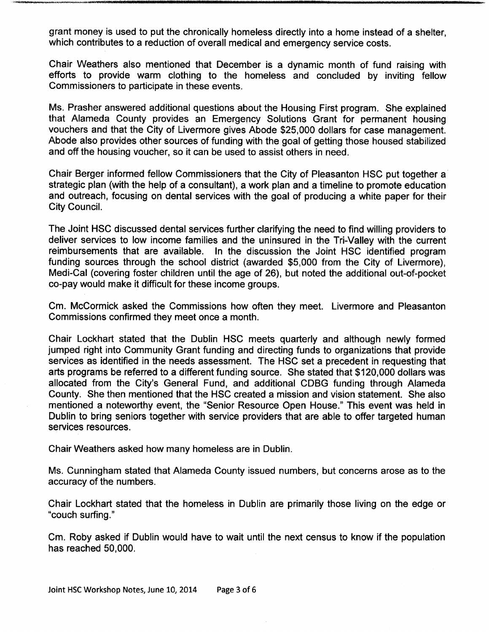grant money is used to put the chronically homeless directly into a home instead of a shelter, which contributes to a reduction of overall medical and emergency service costs.

Chair Weathers also mentioned that December is a dynamic month of fund raising with efforts to provide warm clothing to the homeless and concluded by inviting fellow Commissioners to participate in these events.

Ms. Prasher answered additional questions about the Housing First program. She explained that Alameda County provides an Emergency Solutions Grant for permanent housing vouchers and that the City of Livermore gives Abode \$25,000 dollars for case management. Abode also provides other sources of funding with the goal of getting those housed stabilized and off the housing voucher, so it can be used to assist others in need.

Chair Berger informed fellow Commissioners that the City of Pleasanton HSC put together a strategic plan (with the help of <sup>a</sup> consultant), a work plan and <sup>a</sup> timeline to promote education and outreach, focusing on dental services with the goal of producing a white paper for their City Council.

The Joint HSC discussed dental services further clarifying the need to find willing providers to deliver services to low income families and the uninsured in the Tri-Valley with the current reimbursements that are available. In the discussion the Joint HSC identified program funding sources through the school district (awarded \$5,000 from the City of Livermore), Medi-Cal (covering foster children until the age of 26), but noted the additional out-of-pocket co- pay would make it difficult for these income groups.

Cm. McCormick asked the Commissions how often they meet. Livermore and Pleasanton Commissions confirmed they meet once a month.

Chair Lockhart stated that the Dublin HSC meets quarterly and although newly formed jumped right into Community Grant funding and directing funds to organizations that provide services as identified in the needs assessment. The HSC set <sup>a</sup> precedent in requesting that arts programs be referred to a different funding source. She stated that \$120,000 dollars was allocated from the City'<sup>s</sup> General Fund, and additional CDBG funding through Alameda County. She then mentioned that the HSC created a mission and vision statement. She also mentioned a noteworthy event, the "Senior Resource Open House." This event was held in Dublin to bring seniors together with service providers that are able to offer targeted human services resources.

Chair Weathers asked how many homeless are in Dublin.

Ms. Cunningham stated that Alameda County issued numbers, but concerns arose as to the accuracy of the numbers.

Chair Lockhart stated that the homeless in Dublin are primarily those living on the edge or couch surfing."

Cm. Roby asked if Dublin would have to wait until the next census to know if the population has reached 50, 000.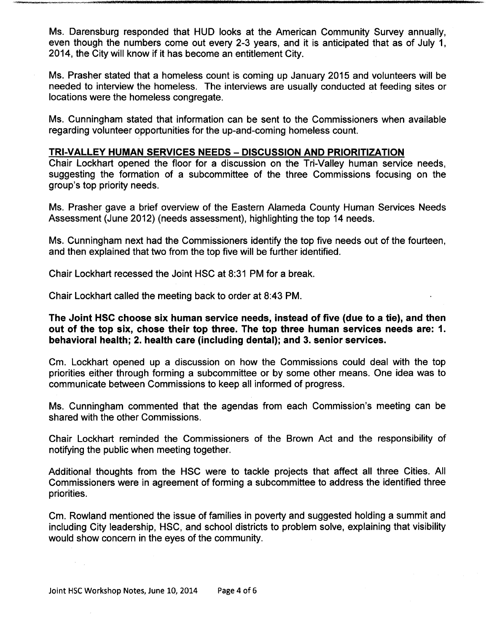Ms. Darensburg responded that HUD looks at the American Community Survey annually, even though the numbers come out every 2-3 years, and it is anticipated that as of July 1, 2014, the City will know if it has become an entitlement City.

Ms. Prasher stated that a homeless count is coming up January 2015 and volunteers will be needed to interview the homeless. The interviews are usually conducted at feeding sites or locations were the homeless congregate.

Ms. Cunningham stated that information can be sent to the Commissioners when available regarding volunteer opportunities for the up-and- coming homeless count.

### TRI-VALLEY HUMAN SERVICES NEEDS — DISCUSSION AND PRIORITIZATION

Chair Lockhart opened the floor for a discussion on the Tri-Valley human service needs, suggesting the formation of a subcommittee of the three Commissions focusing on the group's top priority needs.

Ms. Prasher gave a brief overview of the Eastern Alameda County Human Services Needs Assessment (June 2012) ( needs assessment), highlighting the top <sup>14</sup> needs.

Ms. Cunningham next had the Commissioners identify the top five needs out of the fourteen, and then explained that two from the top five will be further identified.

Chair Lockhart recessed the Joint HSC at 8: 31 PM for a break.

Chair Lockhart called the meeting back to order at 8:43 PM.

s' ....

### The Joint HSC choose six human service needs, instead of five (due to a tie), and then out of the top six, chose their top three. The top three human services needs are: 1. behavioral health; 2. health care (including dental); and 3. senior services.

Cm. Lockhart opened up a discussion on how the Commissions could deal with the top priorities either through forming a subcommittee or by some other means. One idea was to communicate between Commissions to keep all informed of progress.

Ms. Cunningham commented that the agendas from each Commission's meeting can be shared with the other Commissions.

Chair Lockhart reminded the Commissioners of the Brown Act and the responsibility of notifying the public when meeting together.

Additional thoughts from the HSC were to tackle projects that affect all three Cities. All Commissioners were in agreement of forming a subcommittee to address the identified three priorities.

Cm. Rowland mentioned the issue of families in poverty and suggested holding a summit and including City leadership, HSC, and school districts to problem solve, explaining that visibility would show concern in the eyes of the community.

 $\lambda_{\rm max}$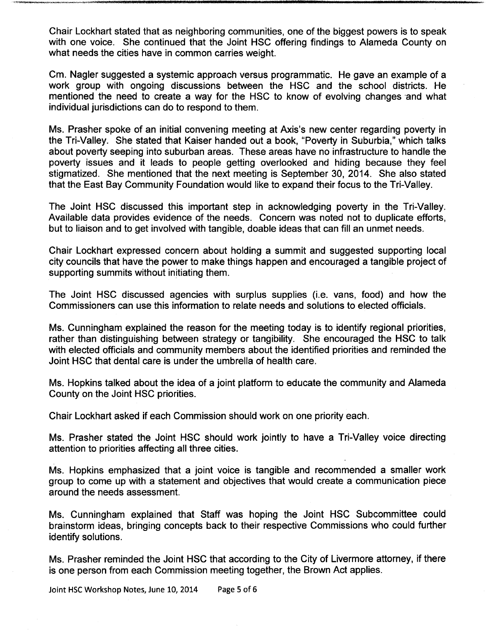Chair Lockhart stated that as neighboring communities, one of the biggest powers is to speak with one voice. She continued that the Joint HSC offering findings to Alameda County on what needs the cities have in common carries weight.

Cm. Nagler suggested a systemic approach versus programmatic. He gave an example of a work group with ongoing discussions between the HSC and the school districts. He mentioned the need to create a way for the HSC to know of evolving changes and what individual jurisdictions can do to respond to them.

Ms. Prasher spoke of an initial convening meeting at Axis's new center regarding poverty in the Tri-Valley. She stated that Kaiser handed out <sup>a</sup> book, "Poverty in Suburbia," which talks about poverty seeping into suburban areas. These areas have no infrastructure to handle the poverty issues and it leads to people getting overlooked and hiding because they feel stigmatized. She mentioned that the next meeting is September 30, 2014. She also stated that the East Bay Community Foundation would like to expand their focus to the Tri-Valley.

The Joint HSC discussed this important step in acknowledging poverty in the Tri-Valley. Available data provides evidence of the needs. Concern was noted not to duplicate efforts, but to liaison and to get involved with tangible, doable ideas that can fill an unmet needs.

Chair Lockhart expressed concern about holding a summit and suggested supporting local city councils that have the power to make things happen and encouraged a tangible project of supporting summits without initiating them.

The Joint HSC discussed agencies with surplus supplies (i.e. vans, food) and how the Commissioners can use this information to relate needs and solutions to elected officials.

Ms. Cunningham explained the reason for the meeting today is to identify regional priorities, rather than distinguishing between strategy or tangibility. She encouraged the HSC to talk with elected officials and community members about the identified priorities and reminded the Joint HSC that dental care is under the umbrella of health care.

Ms. Hopkins talked about the idea of a joint platform to educate the community and Alameda County on the Joint HSC priorities.

Chair Lockhart asked if each Commission should work on one priority each.

Ms. Prasher stated the Joint HSC should work jointly to have a Tri-Valley voice directing attention to priorities affecting all three cities.

Ms. Hopkins emphasized that a joint voice is tangible and recommended a smaller work group to come up with a statement and objectives that would create a communication piece around the needs assessment.

Ms. Cunningham explained that Staff was hoping the Joint HSC Subcommittee could brainstorm ideas, bringing concepts back to their respective Commissions who could further identify solutions.

Ms. Prasher reminded the Joint HSC that according to the City of Livermore attorney, if there is one person from each Commission meeting together, the Brown Act applies.

Joint HSC Workshop Notes, June 10, 2014 Page <sup>5</sup> of <sup>6</sup>